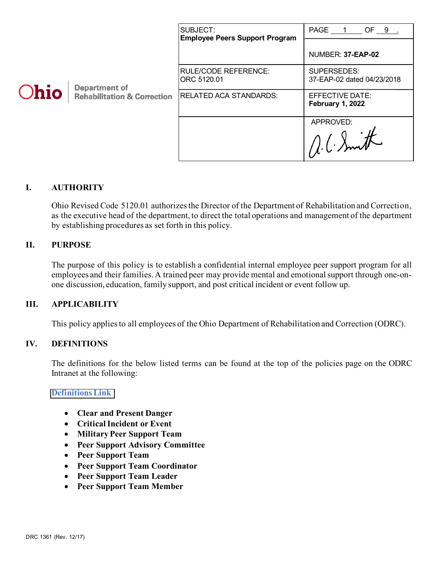|      |                                                                | SUBJECT:<br><b>Employee Peers Support Program</b> | PAGE 1 OF 9 .                              |
|------|----------------------------------------------------------------|---------------------------------------------------|--------------------------------------------|
| Ohio | <b>Department of</b><br><b>Rehabilitation &amp; Correction</b> |                                                   | NUMBER: 37-EAP-02                          |
|      |                                                                | <b>RULE/CODE REFERENCE:</b><br>ORC 5120.01        | SUPERSEDES:<br>37-EAP-02 dated 04/23/2018  |
|      |                                                                | <b>RELATED ACA STANDARDS:</b>                     | EFFECTIVE DATE:<br><b>February 1, 2022</b> |
|      |                                                                |                                                   | APPROVED:                                  |

## **I. AUTHORITY**

Ohio Revised Code 5120.01 authorizes the Director of the Department of Rehabilitation and Correction, as the executive head of the department, to direct the total operations and management of the department by establishing procedures as set forth in this policy.

## **II. PURPOSE**

The purpose of this policy is to establish a confidential internal employee peer support program for all employees and their families. A trained peer may provide mental and emotional support through one-onone discussion, education, family support, and post critical incident or event follow up.

### **III. APPLICABILITY**

This policy applies to all employees of the Ohio Department of Rehabilitation and Correction (ODRC).

### **IV. DEFINITIONS**

The definitions for the below listed terms can be found at the top of the policies page on the ODRC Intranet at the following:

### **[Definitions Link](http://intra/policies/pagecontent/files/Policy%20Definition%20Spreadsheet%20-%20Intranet%202021.pdf)**

- **Clear and Present Danger**
- **Critical Incident or Event**
- **Military Peer Support Team**
- **Peer Support Advisory Committee**
- **Peer Support Team**
- **Peer Support Team Coordinator**
- **Peer Support Team Leader**
- **Peer Support Team Member**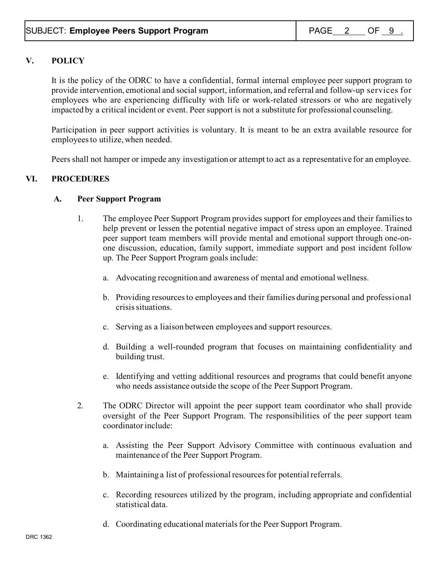# **V. POLICY**

It is the policy of the ODRC to have a confidential, formal internal employee peer support program to provide intervention, emotional and social support, information, and referral and follow-up services for employees who are experiencing difficulty with life or work-related stressors or who are negatively impacted by a critical incident or event. Peer support is not a substitute for professional counseling.

Participation in peer support activities is voluntary. It is meant to be an extra available resource for employeesto utilize, when needed.

Peers shall not hamper or impede any investigation or attempt to act as a representative for an employee.

# **VI. PROCEDURES**

## **A. Peer Support Program**

- 1. The employee Peer Support Program provides support for employees and their families to help prevent or lessen the potential negative impact of stress upon an employee. Trained peer support team members will provide mental and emotional support through one-onone discussion, education, family support, immediate support and post incident follow up. The Peer Support Program goals include:
	- a. Advocating recognition and awareness of mental and emotional wellness.
	- b. Providing resources to employees and their families during personal and professional crisis situations.
	- c. Serving as a liaison between employees and support resources.
	- d. Building a well-rounded program that focuses on maintaining confidentiality and building trust.
	- e. Identifying and vetting additional resources and programs that could benefit anyone who needs assistance outside the scope of the Peer Support Program.
- 2. The ODRC Director will appoint the peer support team coordinator who shall provide oversight of the Peer Support Program. The responsibilities of the peer support team coordinator include:
	- a. Assisting the Peer Support Advisory Committee with continuous evaluation and maintenance of the Peer Support Program.
	- b. Maintaining a list of professional resources for potential referrals.
	- c. Recording resources utilized by the program, including appropriate and confidential statistical data.
	- d. Coordinating educational materials for the Peer Support Program.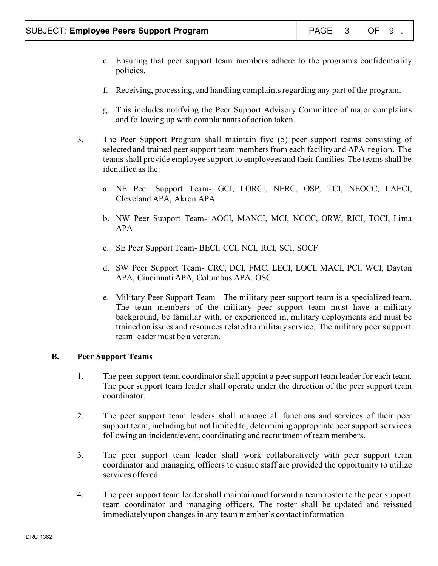- e. Ensuring that peer support team members adhere to the program's confidentiality policies.
- f. Receiving, processing, and handling complaints regarding any part of the program.
- g. This includes notifying the Peer Support Advisory Committee of major complaints and following up with complainants of action taken.
- 3. The Peer Support Program shall maintain five (5) peer support teams consisting of selected and trained peer support team members from each facility and APA region. The teams shall provide employee support to employees and their families. The teams shall be identified as the:
	- a. NE Peer Support Team- GCI, LORCI, NERC, OSP, TCI, NEOCC, LAECI, Cleveland APA, Akron APA
	- b. NW Peer Support Team- AOCI, MANCI, MCI, NCCC, ORW, RICI, TOCI, Lima APA
	- c. SE Peer Support Team- BECI, CCI, NCI, RCI, SCI, SOCF
	- d. SW Peer Support Team- CRC, DCI, FMC, LECI, LOCI, MACI, PCI, WCI, Dayton APA, Cincinnati APA, Columbus APA, OSC
	- e. Military Peer Support Team The military peer support team is a specialized team. The team members of the military peer support team must have a military background, be familiar with, or experienced in, military deployments and must be trained on issues and resources related to military service. The military peer support team leader must be a veteran.

### **B. Peer Support Teams**

- 1. The peer support team coordinatorshall appoint a peer support team leader for each team. The peer support team leader shall operate under the direction of the peer support team coordinator.
- 2. The peer support team leaders shall manage all functions and services of their peer support team, including but not limited to, determining appropriate peer support services following an incident/event, coordinating and recruitment of team members.
- 3. The peer support team leader shall work collaboratively with peer support team coordinator and managing officers to ensure staff are provided the opportunity to utilize services offered.
- 4. The peer support team leader shall maintain and forward a team roster to the peer support team coordinator and managing officers. The roster shall be updated and reissued immediately upon changes in any team member's contact information.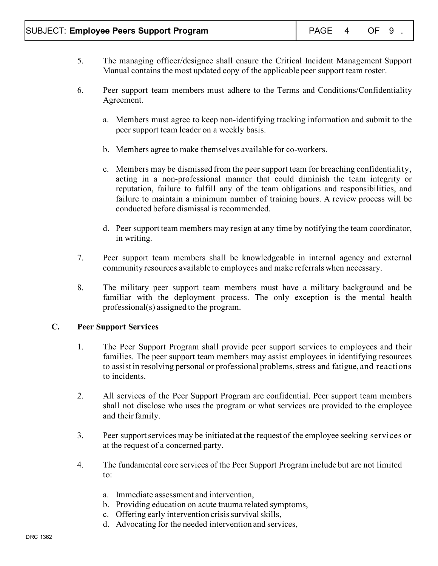- 5. The managing officer/designee shall ensure the Critical Incident Management Support Manual contains the most updated copy of the applicable peer support team roster.
- 6. Peer support team members must adhere to the Terms and Conditions/Confidentiality Agreement.
	- a. Members must agree to keep non-identifying tracking information and submit to the peer support team leader on a weekly basis.
	- b. Members agree to make themselves available for co-workers.
	- c. Members may be dismissed from the peer support team for breaching confidentiality, acting in a non-professional manner that could diminish the team integrity or reputation, failure to fulfill any of the team obligations and responsibilities, and failure to maintain a minimum number of training hours. A review process will be conducted before dismissal is recommended.
	- d. Peer support team members may resign at any time by notifying the team coordinator, in writing.
- 7. Peer support team members shall be knowledgeable in internal agency and external community resources available to employees and make referrals when necessary.
- 8. The military peer support team members must have a military background and be familiar with the deployment process. The only exception is the mental health professional(s) assigned to the program.

# **C. Peer Support Services**

- 1. The Peer Support Program shall provide peer support services to employees and their families. The peer support team members may assist employees in identifying resources to assist in resolving personal or professional problems, stress and fatigue, and reactions to incidents.
- 2. All services of the Peer Support Program are confidential. Peer support team members shall not disclose who uses the program or what services are provided to the employee and their family.
- 3. Peer support services may be initiated at the request of the employee seeking services or at the request of a concerned party.
- 4. The fundamental core services of the Peer Support Program include but are not limited to:
	- a. Immediate assessment and intervention,
	- b. Providing education on acute trauma related symptoms,
	- c. Offering early intervention crisis survival skills,
	- d. Advocating for the needed intervention and services,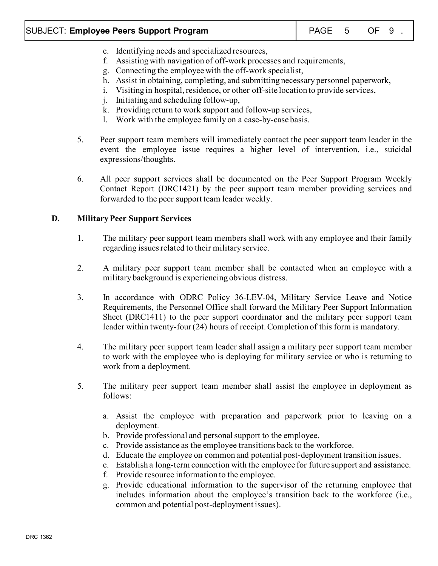# SUBJECT: **Employee Peers Support Program** | PAGE\_\_<u>5\_\_</u>\_OF\_\_9\_\_

- e. Identifying needs and specialized resources,
- f. Assisting with navigation of off-work processes and requirements,
- g. Connecting the employee with the off-work specialist,
- h. Assist in obtaining, completing, and submitting necessary personnel paperwork,
- i. Visiting in hospital, residence, or other off-site location to provide services,
- j. Initiating and scheduling follow-up,
- k. Providing return to work support and follow-up services,
- l. Work with the employee family on a case-by-case basis.
- 5. Peer support team members will immediately contact the peer support team leader in the event the employee issue requires a higher level of intervention, i.e., suicidal expressions/thoughts.
- 6. All peer support services shall be documented on the Peer Support Program Weekly Contact Report (DRC1421) by the peer support team member providing services and forwarded to the peer support team leader weekly.

# **D. MilitaryPeer Support Services**

- 1. The military peer support team members shall work with any employee and their family regarding issues related to their military service.
- 2. A military peer support team member shall be contacted when an employee with a military background is experiencing obvious distress.
- 3. In accordance with ODRC Policy 36-LEV-04, Military Service Leave and Notice Requirements, the Personnel Office shall forward the Military Peer Support Information Sheet (DRC1411) to the peer support coordinator and the military peer support team leader within twenty-four (24) hours of receipt. Completion of this form is mandatory.
- 4. The military peer support team leader shall assign a military peer support team member to work with the employee who is deploying for military service or who is returning to work from a deployment.
- 5. The military peer support team member shall assist the employee in deployment as follows:
	- a. Assist the employee with preparation and paperwork prior to leaving on a deployment.
	- b. Provide professional and personal support to the employee.
	- c. Provide assistance as the employee transitions back to the workforce.
	- d. Educate the employee on common and potential post-deployment transition issues.
	- e. Establish a long-term connection with the employee for future support and assistance.
	- f. Provide resource information to the employee.
	- g. Provide educational information to the supervisor of the returning employee that includes information about the employee's transition back to the workforce (i.e., common and potential post-deployment issues).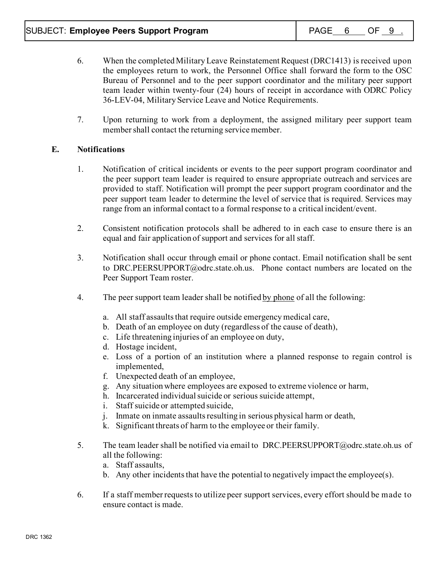- 6. When the completed Military Leave Reinstatement Request (DRC1413) is received upon the employees return to work, the Personnel Office shall forward the form to the OSC Bureau of Personnel and to the peer support coordinator and the military peer support team leader within twenty-four (24) hours of receipt in accordance with ODRC Policy 36-LEV-04, Military Service Leave and Notice Requirements.
- 7. Upon returning to work from a deployment, the assigned military peer support team member shall contact the returning service member.

# **E. Notifications**

- 1. Notification of critical incidents or events to the peer support program coordinator and the peer support team leader is required to ensure appropriate outreach and services are provided to staff. Notification will prompt the peer support program coordinator and the peer support team leader to determine the level of service that is required. Services may range from an informal contact to a formal response to a critical incident/event.
- 2. Consistent notification protocols shall be adhered to in each case to ensure there is an equal and fair application of support and services for all staff.
- 3. Notification shall occur through email or phone contact. Email notification shall be sent to [DRC.PEERSUPPORT@odrc.state.oh.us.](mailto:DRC.PEERSUPPORT@odrc.state.oh.us) Phone contact numbers are located on the Peer Support Team roster.
- 4. The peer support team leader shall be notified by phone of all the following:
	- a. All staff assaults that require outside emergency medical care,
	- b. Death of an employee on duty (regardless of the cause of death),
	- c. Life threatening injuries of an employee on duty,
	- d. Hostage incident,
	- e. Loss of a portion of an institution where a planned response to regain control is implemented,
	- f. Unexpected death of an employee,
	- g. Any situation where employees are exposed to extreme violence or harm,
	- h. Incarcerated individual suicide or serious suicide attempt,
	- i. Staff suicide or attempted suicide,
	- j. Inmate on inmate assaults resulting in serious physical harm or death,
	- k. Significant threats of harm to the employee or their family.
- 5. The team leader shall be notified via email to [DRC.PEERSUPPORT@odrc.state.oh.us](mailto:DRC.PEERSUPPORT@odrc.state.oh.us) of all the following:
	- a. Staff assaults,
	- b. Any other incidents that have the potential to negatively impact the employee(s).
- 6. If a staff member requests to utilize peer support services, every effort should be made to ensure contact is made.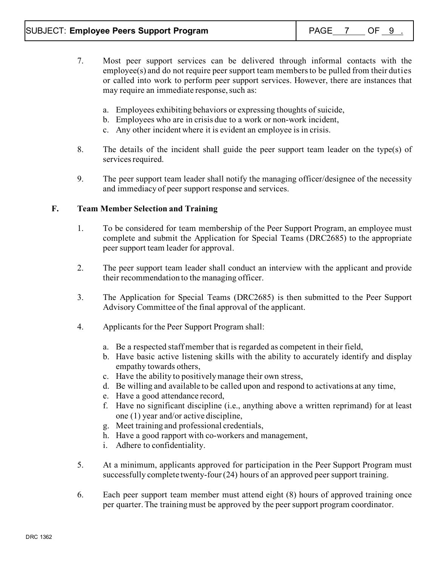- 7. Most peer support services can be delivered through informal contacts with the employee(s) and do not require peer support team membersto be pulled from their duties or called into work to perform peer support services. However, there are instances that may require an immediate response, such as:
	- a. Employees exhibiting behaviors or expressing thoughts of suicide,
	- b. Employees who are in crisis due to a work or non-work incident,
	- c. Any other incident where it is evident an employee is in crisis.
- 8. The details of the incident shall guide the peer support team leader on the type(s) of services required.
- 9. The peer support team leader shall notify the managing officer/designee of the necessity and immediacy of peer support response and services.

## **F. Team Member Selection and Training**

- 1. To be considered for team membership of the Peer Support Program, an employee must complete and submit the Application for Special Teams (DRC2685) to the appropriate peer support team leader for approval.
- 2. The peer support team leader shall conduct an interview with the applicant and provide their recommendation to the managing officer.
- 3. The Application for Special Teams (DRC2685) is then submitted to the Peer Support Advisory Committee of the final approval of the applicant.
- 4. Applicants for the Peer Support Program shall:
	- a. Be a respected staff member that is regarded as competent in their field,
	- b. Have basic active listening skills with the ability to accurately identify and display empathy towards others,
	- c. Have the ability to positively manage their own stress,
	- d. Be willing and available to be called upon and respond to activations at any time,
	- e. Have a good attendance record,
	- f. Have no significant discipline (i.e., anything above a written reprimand) for at least one (1) year and/or active discipline,
	- g. Meet training and professional credentials,
	- h. Have a good rapport with co-workers and management,
	- i. Adhere to confidentiality.
- 5. At a minimum, applicants approved for participation in the Peer Support Program must successfully complete twenty-four (24) hours of an approved peer support training.
- 6. Each peer support team member must attend eight (8) hours of approved training once per quarter. The training must be approved by the peer support program coordinator.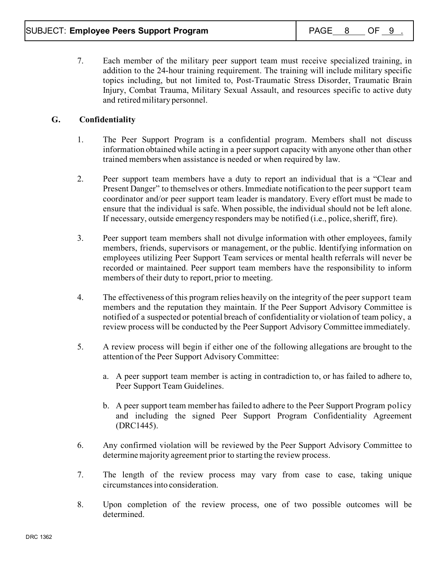7. Each member of the military peer support team must receive specialized training, in addition to the 24-hour training requirement. The training will include military specific topics including, but not limited to, Post-Traumatic Stress Disorder, Traumatic Brain Injury, Combat Trauma, Military Sexual Assault, and resources specific to active duty and retired military personnel.

# **G. Confidentiality**

- 1. The Peer Support Program is a confidential program. Members shall not discuss information obtained while acting in a peer support capacity with anyone other than other trained members when assistance is needed or when required by law.
- 2. Peer support team members have a duty to report an individual that is a "Clear and Present Danger" to themselves or others. Immediate notification to the peer support team coordinator and/or peer support team leader is mandatory. Every effort must be made to ensure that the individual is safe. When possible, the individual should not be left alone. If necessary, outside emergency responders may be notified (i.e., police, sheriff, fire).
- 3. Peer support team members shall not divulge information with other employees, family members, friends, supervisors or management, or the public. Identifying information on employees utilizing Peer Support Team services or mental health referrals will never be recorded or maintained. Peer support team members have the responsibility to inform members of their duty to report, prior to meeting.
- 4. The effectiveness of this program relies heavily on the integrity of the peer support team members and the reputation they maintain. If the Peer Support Advisory Committee is notified of a suspected or potential breach of confidentiality or violation of team policy, a review process will be conducted by the Peer Support Advisory Committee immediately.
- 5. A review process will begin if either one of the following allegations are brought to the attention of the Peer Support Advisory Committee:
	- a. A peer support team member is acting in contradiction to, or has failed to adhere to, Peer Support Team Guidelines.
	- b. A peer support team member has failed to adhere to the Peer Support Program policy and including the signed Peer Support Program Confidentiality Agreement (DRC1445).
- 6. Any confirmed violation will be reviewed by the Peer Support Advisory Committee to determine majority agreement prior to starting the review process.
- 7. The length of the review process may vary from case to case, taking unique circumstances into consideration.
- 8. Upon completion of the review process, one of two possible outcomes will be determined.